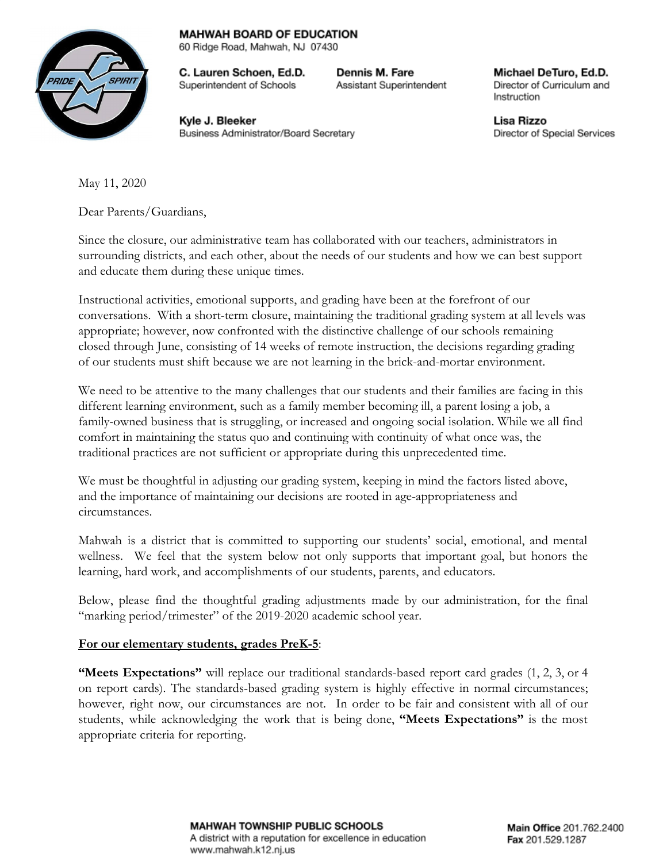## **MAHWAH BOARD OF EDUCATION**



60 Ridge Road, Mahwah, NJ 07430

C. Lauren Schoen, Ed.D. Superintendent of Schools

Dennis M. Fare Assistant Superintendent

Michael DeTuro, Ed.D. Director of Curriculum and Instruction

Kyle J. Bleeker Business Administrator/Board Secretary Lisa Rizzo Director of Special Services

May 11, 2020

Dear Parents/Guardians,

Since the closure, our administrative team has collaborated with our teachers, administrators in surrounding districts, and each other, about the needs of our students and how we can best support and educate them during these unique times.

Instructional activities, emotional supports, and grading have been at the forefront of our conversations. With a short-term closure, maintaining the traditional grading system at all levels was appropriate; however, now confronted with the distinctive challenge of our schools remaining closed through June, consisting of 14 weeks of remote instruction, the decisions regarding grading of our students must shift because we are not learning in the brick-and-mortar environment.

We need to be attentive to the many challenges that our students and their families are facing in this different learning environment, such as a family member becoming ill, a parent losing a job, a family-owned business that is struggling, or increased and ongoing social isolation. While we all find comfort in maintaining the status quo and continuing with continuity of what once was, the traditional practices are not sufficient or appropriate during this unprecedented time.

We must be thoughtful in adjusting our grading system, keeping in mind the factors listed above, and the importance of maintaining our decisions are rooted in age-appropriateness and circumstances.

Mahwah is a district that is committed to supporting our students' social, emotional, and mental wellness. We feel that the system below not only supports that important goal, but honors the learning, hard work, and accomplishments of our students, parents, and educators.

Below, please find the thoughtful grading adjustments made by our administration, for the final "marking period/trimester" of the 2019-2020 academic school year.

## **For our elementary students, grades PreK-5**:

**"Meets Expectations"** will replace our traditional standards-based report card grades (1, 2, 3, or 4 on report cards). The standards-based grading system is highly effective in normal circumstances; however, right now, our circumstances are not. In order to be fair and consistent with all of our students, while acknowledging the work that is being done, **"Meets Expectations"** is the most appropriate criteria for reporting.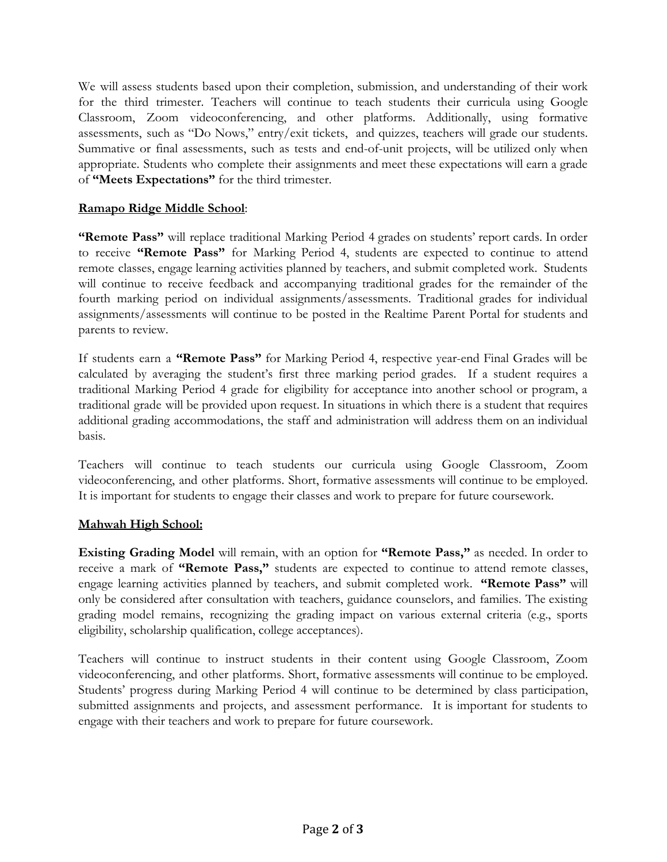We will assess students based upon their completion, submission, and understanding of their work for the third trimester. Teachers will continue to teach students their curricula using Google Classroom, Zoom videoconferencing, and other platforms. Additionally, using formative assessments, such as "Do Nows," entry/exit tickets, and quizzes, teachers will grade our students. Summative or final assessments, such as tests and end-of-unit projects, will be utilized only when appropriate. Students who complete their assignments and meet these expectations will earn a grade of **"Meets Expectations"** for the third trimester.

## **Ramapo Ridge Middle School**:

**"Remote Pass"** will replace traditional Marking Period 4 grades on students' report cards. In order to receive **"Remote Pass"** for Marking Period 4, students are expected to continue to attend remote classes, engage learning activities planned by teachers, and submit completed work. Students will continue to receive feedback and accompanying traditional grades for the remainder of the fourth marking period on individual assignments/assessments. Traditional grades for individual assignments/assessments will continue to be posted in the Realtime Parent Portal for students and parents to review.

If students earn a **"Remote Pass"** for Marking Period 4, respective year-end Final Grades will be calculated by averaging the student's first three marking period grades. If a student requires a traditional Marking Period 4 grade for eligibility for acceptance into another school or program, a traditional grade will be provided upon request. In situations in which there is a student that requires additional grading accommodations, the staff and administration will address them on an individual basis.

Teachers will continue to teach students our curricula using Google Classroom, Zoom videoconferencing, and other platforms. Short, formative assessments will continue to be employed. It is important for students to engage their classes and work to prepare for future coursework.

## **Mahwah High School:**

**Existing Grading Model** will remain, with an option for **"Remote Pass,"** as needed. In order to receive a mark of **"Remote Pass,"** students are expected to continue to attend remote classes, engage learning activities planned by teachers, and submit completed work. **"Remote Pass"** will only be considered after consultation with teachers, guidance counselors, and families. The existing grading model remains, recognizing the grading impact on various external criteria (e.g., sports eligibility, scholarship qualification, college acceptances).

Teachers will continue to instruct students in their content using Google Classroom, Zoom videoconferencing, and other platforms. Short, formative assessments will continue to be employed. Students' progress during Marking Period 4 will continue to be determined by class participation, submitted assignments and projects, and assessment performance. It is important for students to engage with their teachers and work to prepare for future coursework.